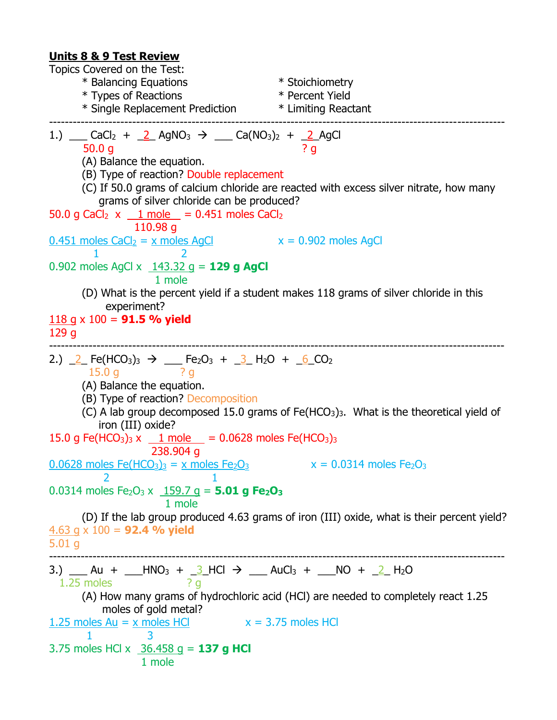#### **Units 8 & 9 Test Review**

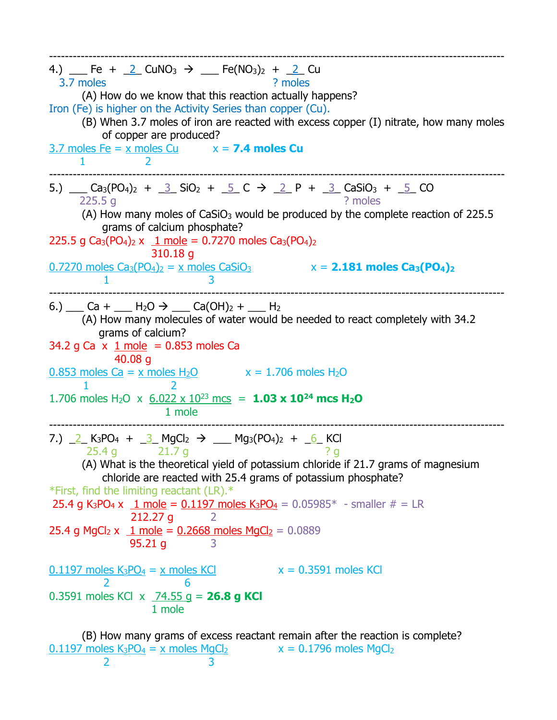| 4.) $\angle$ Fe + $\angle$ CuNO <sub>3</sub> $\rightarrow$ $\angle$ Fe(NO <sub>3</sub> ) <sub>2</sub> + $\angle$ Cu<br>3.7 moles<br>? moles<br>(A) How do we know that this reaction actually happens?<br>Iron (Fe) is higher on the Activity Series than copper (Cu).<br>(B) When 3.7 moles of iron are reacted with excess copper (I) nitrate, how many moles<br>of copper are produced?<br>$3.7$ moles Fe = $x$ moles Cu $x = 7.4$ moles Cu<br>1                                                                                                                                                                                              |
|--------------------------------------------------------------------------------------------------------------------------------------------------------------------------------------------------------------------------------------------------------------------------------------------------------------------------------------------------------------------------------------------------------------------------------------------------------------------------------------------------------------------------------------------------------------------------------------------------------------------------------------------------|
| 5.) $\_\_$ Ca <sub>3</sub> (PO <sub>4</sub> ) <sub>2</sub> + $\_\_3$ SiO <sub>2</sub> + $\_\_5$ C $\rightarrow$ $\_\_2$ P + $\_\_3$ CaSiO <sub>3</sub> + $\_\_5$ CO<br>? moles<br>225.5g<br>(A) How many moles of $CaSiO3$ would be produced by the complete reaction of 225.5<br>grams of calcium phosphate?<br>225.5 g Ca <sub>3</sub> (PO <sub>4</sub> ) <sub>2</sub> x $1$ mole = 0.7270 moles Ca <sub>3</sub> (PO <sub>4</sub> ) <sub>2</sub><br>310.18 g<br><u>0.7270 moles Ca<sub>3</sub>(PO<sub>4</sub>)<sub>2</sub> = x moles CaSiO<sub>3</sub> <math>x = 2.181</math> moles Ca<sub>3</sub>(PO<sub>4</sub>)<sub>2</sub></u><br>1        |
| 6.) $\_\_$ Ca + $\_\_$ H <sub>2</sub> O $\rightarrow$ $\_\_$ Ca(OH) <sub>2</sub> + $\_\_$ H <sub>2</sub><br>(A) How many molecules of water would be needed to react completely with 34.2<br>grams of calcium?<br>34.2 g Ca $\times$ 1 mole = 0.853 moles Ca<br>40.08q<br>$0.853$ moles Ca = x moles H <sub>2</sub> O $x = 1.706$ moles H <sub>2</sub> O<br>1.706 moles H <sub>2</sub> O x $6.022 \times 10^{23}$ mcs = <b>1.03 x 10<sup>24</sup> mcs H<sub>2</sub>O</b><br>1 mole                                                                                                                                                               |
| 7.) $2$ K <sub>3</sub> PO <sub>4</sub> + $3$ MgCl <sub>2</sub> $\rightarrow$ ___ Mg <sub>3</sub> (PO <sub>4</sub> ) <sub>2</sub> + <u>6</u> KCl<br>$25.4 g$ 21.7 g<br>? <sub>g</sub><br>(A) What is the theoretical yield of potassium chloride if 21.7 grams of magnesium<br>chloride are reacted with 25.4 grams of potassium phosphate?<br>*First, find the limiting reactant (LR).*<br>25.4 g K <sub>3</sub> PO <sub>4</sub> x $1 \text{ mole} = 0.1197 \text{ moles } K_3PO_4 = 0.05985* - \text{ smaller } # = \text{LR}$<br>212.27 q<br>2<br>25.4 g MgCl <sub>2</sub> x $1 \text{ mole} = 0.2668 \text{ moles MgCl}_2 = 0.0889$<br>95.21q |
| $x = 0.3591$ moles KCl<br>$0.1197$ moles $K_3PO_4 = x$ moles KCl<br>$\overline{2}$<br>6<br>0.3591 moles KCl $x \overline{74.55}$ g = 26.8 g KCl<br>1 mole                                                                                                                                                                                                                                                                                                                                                                                                                                                                                        |
| (B) How many grams of excess reactant remain after the reaction is complete?                                                                                                                                                                                                                                                                                                                                                                                                                                                                                                                                                                     |

 $0.1197$  moles K<sub>3</sub>PO<sub>4</sub> = x moles MgCl<sub>2</sub>  $x = 0.1796$  moles MgCl<sub>2</sub>

2 3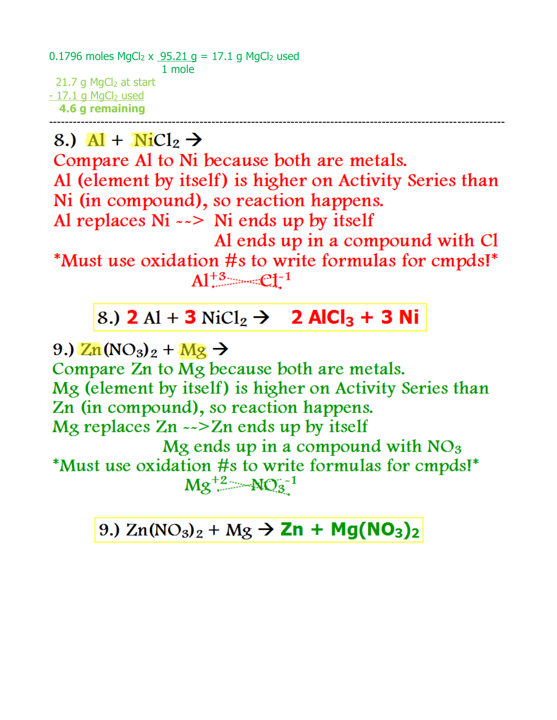0.1796 moles MgCl<sub>2</sub> x  $\frac{95.21 \text{ g}}{1}$  = 17.1 g MgCl<sub>2</sub> used 1 mole 21.7 g  $MgCl<sub>2</sub>$  at start  $-17.1$  g MgCl<sub>2</sub> used 4.6 g remaining

8.)  $Al + NiCl_2 \rightarrow$ 

Compare Al to Ni because both are metals. Al (element by itself) is higher on Activity Series than Ni (in compound), so reaction happens. Al replaces  $Ni \rightarrow Ni$  ends up by itself

Al ends up in a compound with Cl \*Must use oxidation #s to write formulas for cmpds!\*  $Al^{+3}$   $Cl^{-1}$ 

## 8.) **2** Al + **3** NiCl<sub>2</sub>  $\rightarrow$  **2 AlCl<sub>3</sub> + 3 Ni**

9.)  $\text{Zn}(\text{NO}_3)_2 + \text{Mg}$   $\rightarrow$ Compare Zn to Mg because both are metals. Mg (element by itself) is higher on Activity Series than Zn (in compound), so reaction happens. Mg replaces  $Zn \sim Zn$  ends up by itself Mg ends up in a compound with  $NO<sub>3</sub>$ \*Must use oxidation #s to write formulas for cmpds!\*  $Mg^{+2}$   $-MO_3^{-1}$ 

9.)  $Zn(NO_3)_2 + Mg \rightarrow Zn + Mg(NO_3)_2$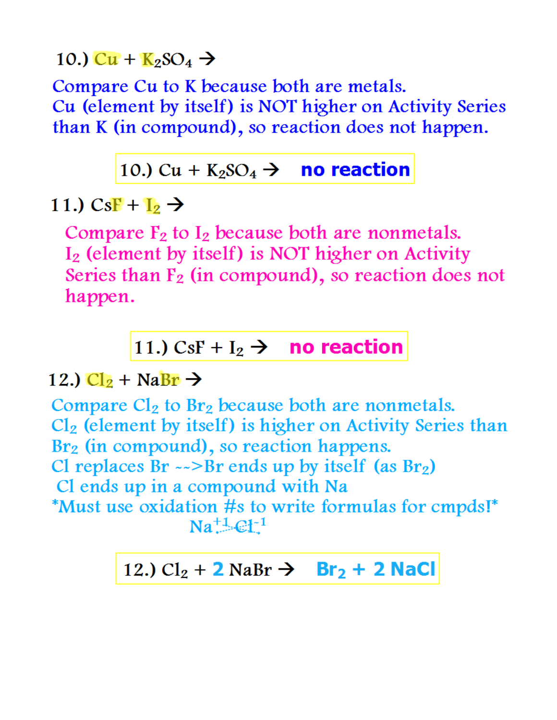#### 10.)  $Cu + K_2SO_4$   $\rightarrow$

Compare Cu to K because both are metals. Cu (element by itself) is NOT higher on Activity Series than K (in compound), so reaction does not happen.

#### 10.) Cu +  $K_2SO_4 \rightarrow$  no reaction

# 11.)  $CsF + I_2 \rightarrow$

Compare  $F_2$  to  $I_2$  because both are nonmetals. I<sub>2</sub> (element by itself) is NOT higher on Activity Series than  $F_2$  (in compound), so reaction does not happen.

# 11.) CsF +  $I_2 \rightarrow$  no reaction

### 12.)  $Cl_2$  + NaBr  $\rightarrow$

Compare  $Cl_2$  to  $Br_2$  because both are nonmetals.  $Cl<sub>2</sub>$  (element by itself) is higher on Activity Series than Br<sub>2</sub> (in compound), so reaction happens. Cl replaces  $Br \sim-Br$  ends up by itself (as  $Br_2$ ) Cl ends up in a compound with Na \*Must use oxidation #s to write formulas for cmpds!\*  $Na^{\pm 1}$  $\mathbb{C}1^{-1}$ 

## 12.)  $Cl_2 + 2$  NaBr  $\rightarrow$  Br<sub>2</sub> + 2 NaCl